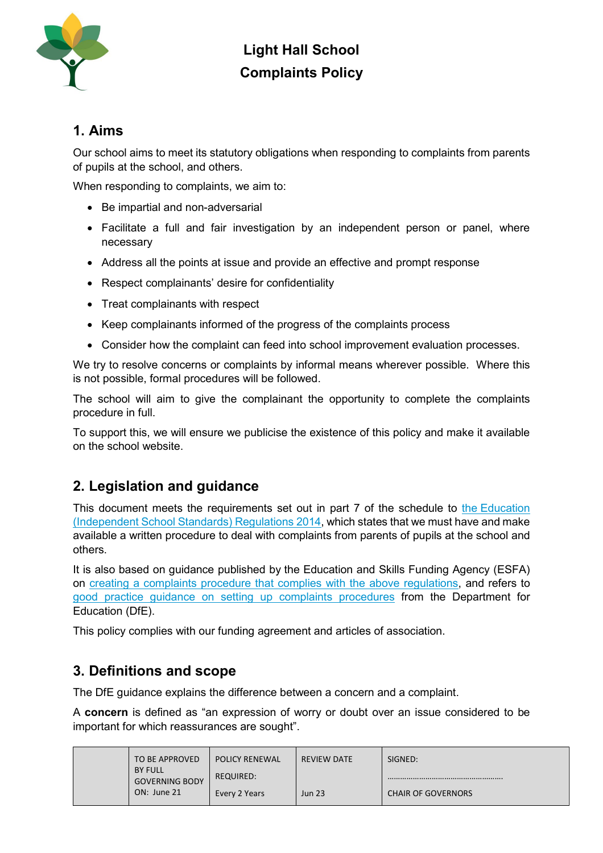

#### **1. Aims**

Our school aims to meet its statutory obligations when responding to complaints from parents of pupils at the school, and others.

When responding to complaints, we aim to:

- Be impartial and non-adversarial
- Facilitate a full and fair investigation by an independent person or panel, where necessary
- Address all the points at issue and provide an effective and prompt response
- Respect complainants' desire for confidentiality
- Treat complainants with respect
- Keep complainants informed of the progress of the complaints process
- Consider how the complaint can feed into school improvement evaluation processes.

We try to resolve concerns or complaints by informal means wherever possible. Where this is not possible, formal procedures will be followed.

The school will aim to give the complainant the opportunity to complete the complaints procedure in full.

To support this, we will ensure we publicise the existence of this policy and make it available on the school website.

#### **2. Legislation and guidance**

This document meets the requirements set out in part 7 of the schedule to the [Education](http://www.legislation.gov.uk/uksi/2014/3283/schedule/made)  [\(Independent School Standards\) Regulations 2014,](http://www.legislation.gov.uk/uksi/2014/3283/schedule/made) which states that we must have and make available a written procedure to deal with complaints from parents of pupils at the school and others.

It is also based on guidance published by the Education and Skills Funding Agency (ESFA) on [creating a complaints procedure that complies with the above regulations,](https://www.gov.uk/government/publications/setting-up-an-academies-complaints-procedure) and refers to [good practice guidance on setting up complaints procedures](https://www.gov.uk/government/publications/school-complaints-procedures) from the Department for Education (DfE).

This policy complies with our funding agreement and articles of association.

#### **3. Definitions and scope**

The DfE guidance explains the difference between a concern and a complaint.

A **concern** is defined as "an expression of worry or doubt over an issue considered to be important for which reassurances are sought".

|  | TO BE APPROVED                          | <b>POLICY RENEWAL</b> | REVIEW DATE   | SIGNED:                   |
|--|-----------------------------------------|-----------------------|---------------|---------------------------|
|  | <b>BY FULL</b><br><b>GOVERNING BODY</b> | <b>REQUIRED:</b>      |               |                           |
|  | ON: June 21                             | Every 2 Years         | <b>Jun 23</b> | <b>CHAIR OF GOVERNORS</b> |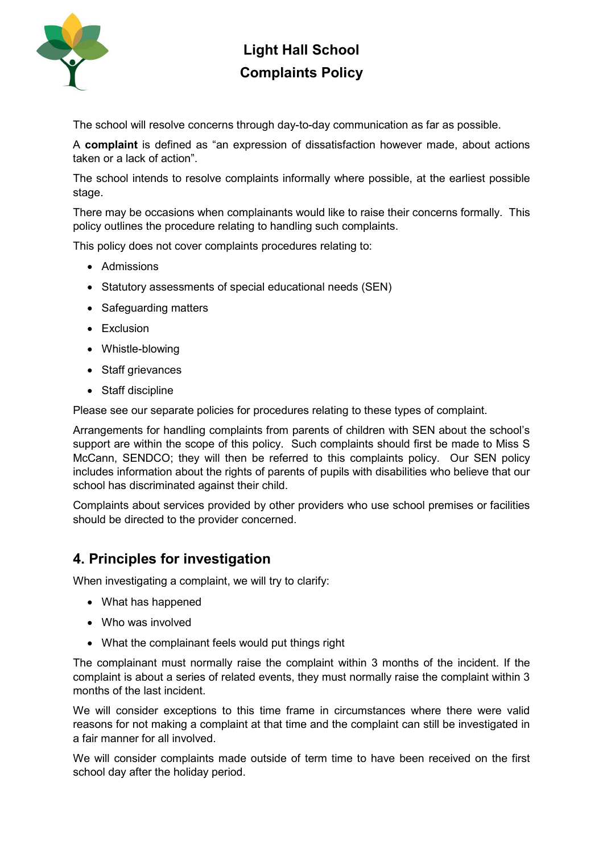

The school will resolve concerns through day-to-day communication as far as possible.

A **complaint** is defined as "an expression of dissatisfaction however made, about actions taken or a lack of action".

The school intends to resolve complaints informally where possible, at the earliest possible stage.

There may be occasions when complainants would like to raise their concerns formally. This policy outlines the procedure relating to handling such complaints.

This policy does not cover complaints procedures relating to:

- Admissions
- Statutory assessments of special educational needs (SEN)
- Safeguarding matters
- Exclusion
- Whistle-blowing
- Staff grievances
- Staff discipline

Please see our separate policies for procedures relating to these types of complaint.

Arrangements for handling complaints from parents of children with SEN about the school's support are within the scope of this policy. Such complaints should first be made to Miss S McCann, SENDCO; they will then be referred to this complaints policy. Our SEN policy includes information about the rights of parents of pupils with disabilities who believe that our school has discriminated against their child.

Complaints about services provided by other providers who use school premises or facilities should be directed to the provider concerned.

#### **4. Principles for investigation**

When investigating a complaint, we will try to clarify:

- What has happened
- Who was involved
- What the complainant feels would put things right

The complainant must normally raise the complaint within 3 months of the incident. If the complaint is about a series of related events, they must normally raise the complaint within 3 months of the last incident.

We will consider exceptions to this time frame in circumstances where there were valid reasons for not making a complaint at that time and the complaint can still be investigated in a fair manner for all involved.

We will consider complaints made outside of term time to have been received on the first school day after the holiday period.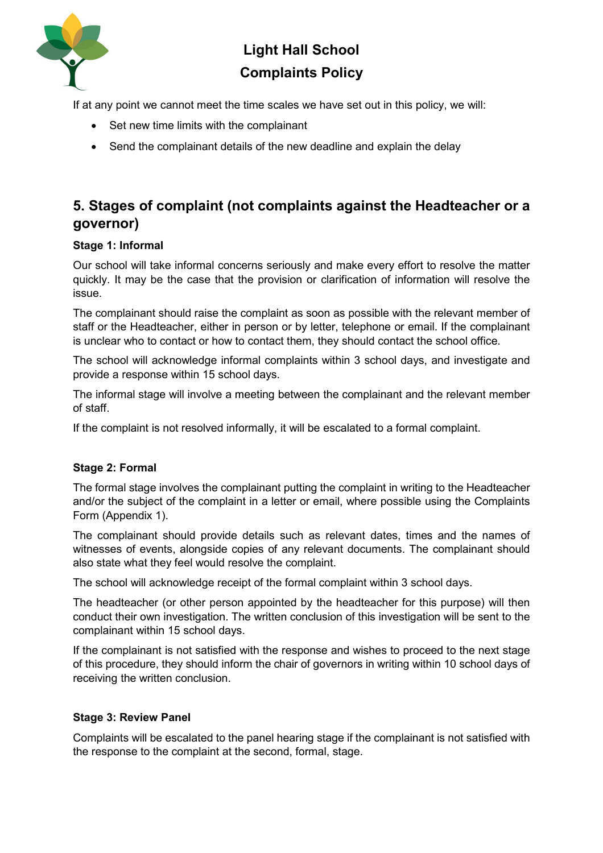

If at any point we cannot meet the time scales we have set out in this policy, we will:

- Set new time limits with the complainant
- Send the complainant details of the new deadline and explain the delay

### **5. Stages of complaint (not complaints against the Headteacher or a governor)**

#### **Stage 1: Informal**

Our school will take informal concerns seriously and make every effort to resolve the matter quickly. It may be the case that the provision or clarification of information will resolve the issue.

The complainant should raise the complaint as soon as possible with the relevant member of staff or the Headteacher, either in person or by letter, telephone or email. If the complainant is unclear who to contact or how to contact them, they should contact the school office.

The school will acknowledge informal complaints within 3 school days, and investigate and provide a response within 15 school days.

The informal stage will involve a meeting between the complainant and the relevant member of staff.

If the complaint is not resolved informally, it will be escalated to a formal complaint.

#### **Stage 2: Formal**

The formal stage involves the complainant putting the complaint in writing to the Headteacher and/or the subject of the complaint in a letter or email, where possible using the Complaints Form (Appendix 1).

The complainant should provide details such as relevant dates, times and the names of witnesses of events, alongside copies of any relevant documents. The complainant should also state what they feel would resolve the complaint.

The school will acknowledge receipt of the formal complaint within 3 school days.

The headteacher (or other person appointed by the headteacher for this purpose) will then conduct their own investigation. The written conclusion of this investigation will be sent to the complainant within 15 school days.

If the complainant is not satisfied with the response and wishes to proceed to the next stage of this procedure, they should inform the chair of governors in writing within 10 school days of receiving the written conclusion.

#### **Stage 3: Review Panel**

Complaints will be escalated to the panel hearing stage if the complainant is not satisfied with the response to the complaint at the second, formal, stage.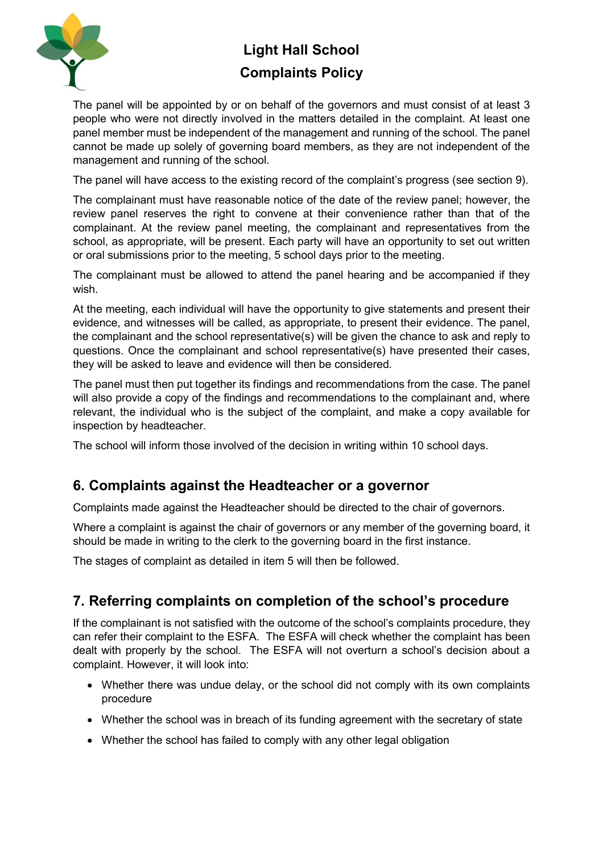

The panel will be appointed by or on behalf of the governors and must consist of at least 3 people who were not directly involved in the matters detailed in the complaint. At least one panel member must be independent of the management and running of the school. The panel cannot be made up solely of governing board members, as they are not independent of the management and running of the school.

The panel will have access to the existing record of the complaint's progress (see section 9).

The complainant must have reasonable notice of the date of the review panel; however, the review panel reserves the right to convene at their convenience rather than that of the complainant. At the review panel meeting, the complainant and representatives from the school, as appropriate, will be present. Each party will have an opportunity to set out written or oral submissions prior to the meeting, 5 school days prior to the meeting.

The complainant must be allowed to attend the panel hearing and be accompanied if they wish.

At the meeting, each individual will have the opportunity to give statements and present their evidence, and witnesses will be called, as appropriate, to present their evidence. The panel, the complainant and the school representative(s) will be given the chance to ask and reply to questions. Once the complainant and school representative(s) have presented their cases, they will be asked to leave and evidence will then be considered.

The panel must then put together its findings and recommendations from the case. The panel will also provide a copy of the findings and recommendations to the complainant and, where relevant, the individual who is the subject of the complaint, and make a copy available for inspection by headteacher.

The school will inform those involved of the decision in writing within 10 school days.

#### **6. Complaints against the Headteacher or a governor**

Complaints made against the Headteacher should be directed to the chair of governors.

Where a complaint is against the chair of governors or any member of the governing board, it should be made in writing to the clerk to the governing board in the first instance.

The stages of complaint as detailed in item 5 will then be followed.

#### **7. Referring complaints on completion of the school's procedure**

If the complainant is not satisfied with the outcome of the school's complaints procedure, they can refer their complaint to the ESFA. The ESFA will check whether the complaint has been dealt with properly by the school. The ESFA will not overturn a school's decision about a complaint. However, it will look into:

- Whether there was undue delay, or the school did not comply with its own complaints procedure
- Whether the school was in breach of its funding agreement with the secretary of state
- Whether the school has failed to comply with any other legal obligation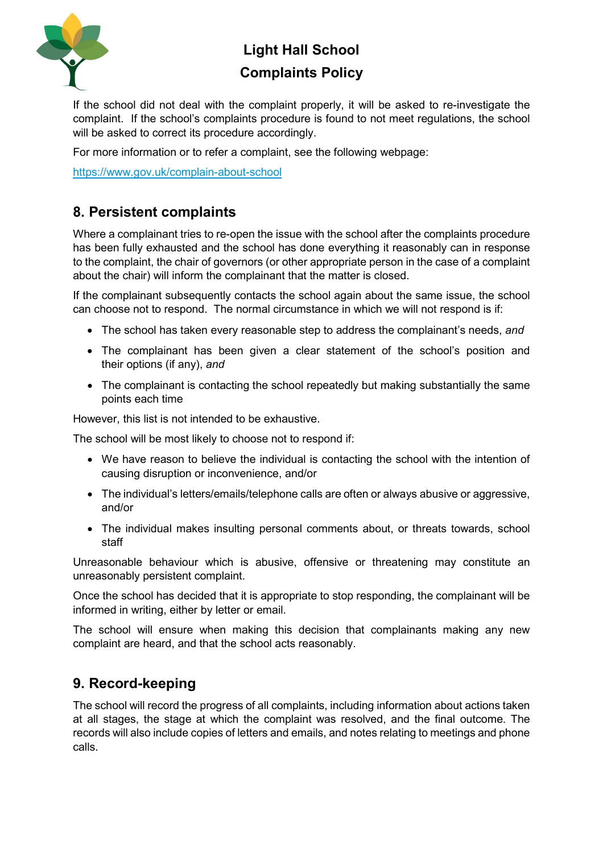

If the school did not deal with the complaint properly, it will be asked to re-investigate the complaint. If the school's complaints procedure is found to not meet regulations, the school will be asked to correct its procedure accordingly.

For more information or to refer a complaint, see the following webpage:

<https://www.gov.uk/complain-about-school>

### **8. Persistent complaints**

Where a complainant tries to re-open the issue with the school after the complaints procedure has been fully exhausted and the school has done everything it reasonably can in response to the complaint, the chair of governors (or other appropriate person in the case of a complaint about the chair) will inform the complainant that the matter is closed.

If the complainant subsequently contacts the school again about the same issue, the school can choose not to respond. The normal circumstance in which we will not respond is if:

- The school has taken every reasonable step to address the complainant's needs, *and*
- The complainant has been given a clear statement of the school's position and their options (if any), *and*
- The complainant is contacting the school repeatedly but making substantially the same points each time

However, this list is not intended to be exhaustive.

The school will be most likely to choose not to respond if:

- We have reason to believe the individual is contacting the school with the intention of causing disruption or inconvenience, and/or
- The individual's letters/emails/telephone calls are often or always abusive or aggressive, and/or
- The individual makes insulting personal comments about, or threats towards, school staff

Unreasonable behaviour which is abusive, offensive or threatening may constitute an unreasonably persistent complaint.

Once the school has decided that it is appropriate to stop responding, the complainant will be informed in writing, either by letter or email.

The school will ensure when making this decision that complainants making any new complaint are heard, and that the school acts reasonably.

#### **9. Record-keeping**

The school will record the progress of all complaints, including information about actions taken at all stages, the stage at which the complaint was resolved, and the final outcome. The records will also include copies of letters and emails, and notes relating to meetings and phone calls.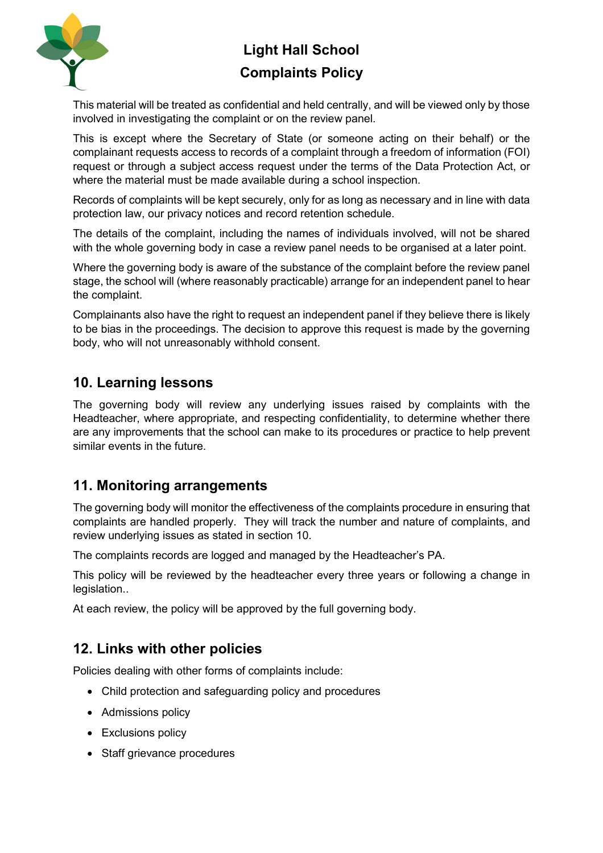

This material will be treated as confidential and held centrally, and will be viewed only by those involved in investigating the complaint or on the review panel.

This is except where the Secretary of State (or someone acting on their behalf) or the complainant requests access to records of a complaint through a freedom of information (FOI) request or through a subject access request under the terms of the Data Protection Act, or where the material must be made available during a school inspection.

Records of complaints will be kept securely, only for as long as necessary and in line with data protection law, our privacy notices and record retention schedule.

The details of the complaint, including the names of individuals involved, will not be shared with the whole governing body in case a review panel needs to be organised at a later point.

Where the governing body is aware of the substance of the complaint before the review panel stage, the school will (where reasonably practicable) arrange for an independent panel to hear the complaint.

Complainants also have the right to request an independent panel if they believe there is likely to be bias in the proceedings. The decision to approve this request is made by the governing body, who will not unreasonably withhold consent.

#### **10. Learning lessons**

The governing body will review any underlying issues raised by complaints with the Headteacher, where appropriate, and respecting confidentiality, to determine whether there are any improvements that the school can make to its procedures or practice to help prevent similar events in the future.

#### **11. Monitoring arrangements**

The governing body will monitor the effectiveness of the complaints procedure in ensuring that complaints are handled properly. They will track the number and nature of complaints, and review underlying issues as stated in section 10.

The complaints records are logged and managed by the Headteacher's PA.

This policy will be reviewed by the headteacher every three years or following a change in legislation..

At each review, the policy will be approved by the full governing body.

### **12. Links with other policies**

Policies dealing with other forms of complaints include:

- Child protection and safeguarding policy and procedures
- Admissions policy
- Exclusions policy
- Staff grievance procedures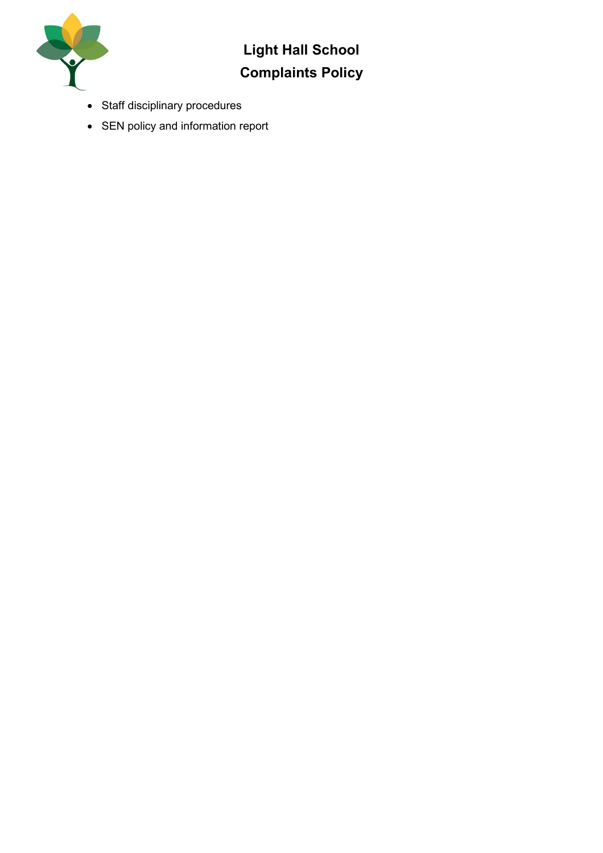

- Staff disciplinary procedures
- SEN policy and information report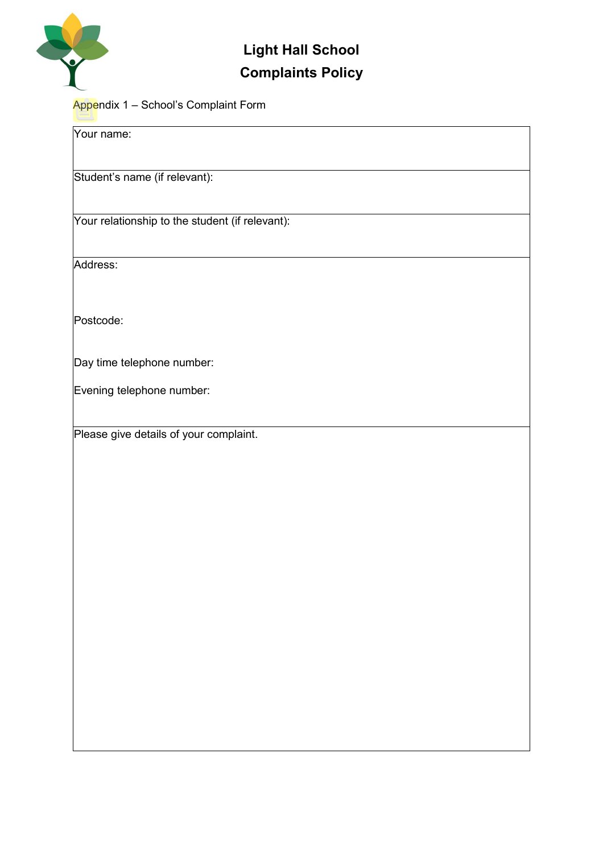

#### Appendix 1 – School's Complaint Form

| Your name:                                      |
|-------------------------------------------------|
| Student's name (if relevant):                   |
| Your relationship to the student (if relevant): |
| Address:                                        |
| Postcode:                                       |
| Day time telephone number:                      |
| Evening telephone number:                       |
| Please give details of your complaint.          |
|                                                 |
|                                                 |
|                                                 |
|                                                 |
|                                                 |
|                                                 |
|                                                 |
|                                                 |